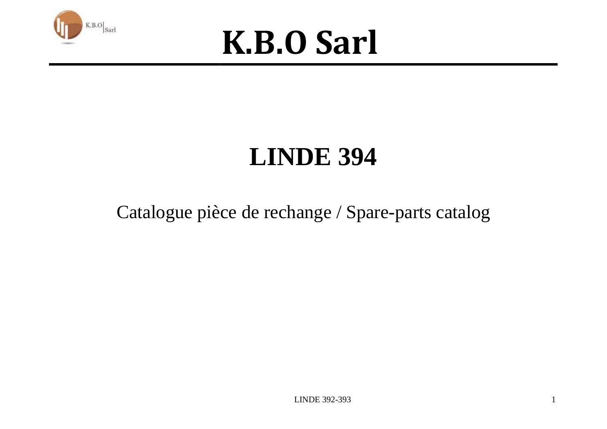



### **LINDE 394**

#### Catalogue pièce de rechange / Spare-parts catalog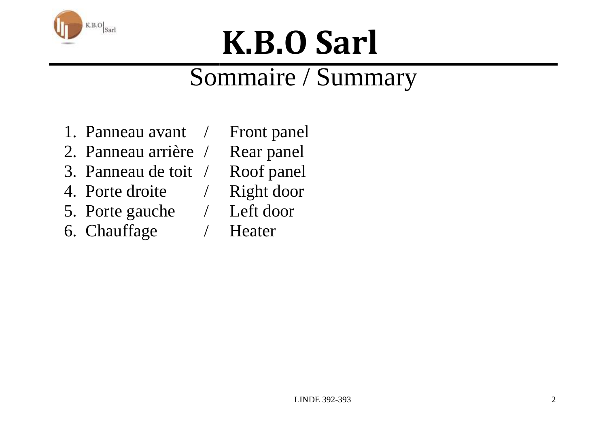

### Sommaire / Summary

- 1. Panneau avant /
- 2. Panneau arrière /
- 3. Panneau de toit /
- 4. Porte droite /
- 5. Porte gauche /
- 6. Chauffage /
- Front panel Rear panel
- Roof panel
- Right door
- Left door
	- Heater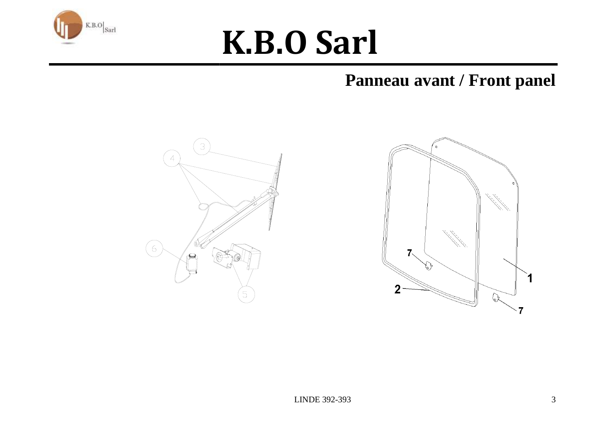

#### **Panneau avant / Front panel**



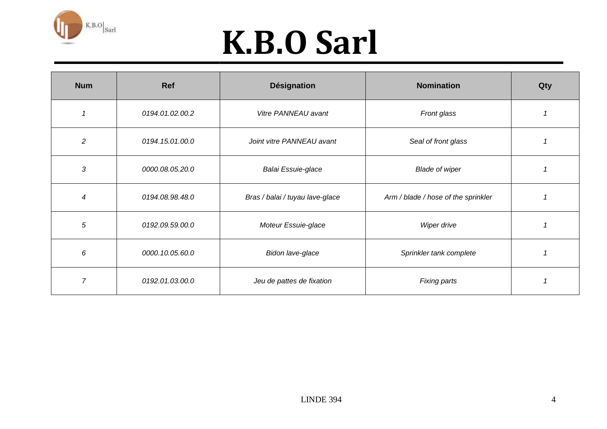

| <b>Num</b>     | Ref             | <b>Désignation</b>              | <b>Nomination</b>                   | Qty |
|----------------|-----------------|---------------------------------|-------------------------------------|-----|
| $\overline{1}$ | 0194.01.02.00.2 | Vitre PANNEAU avant             | Front glass                         |     |
| $\overline{c}$ | 0194.15.01.00.0 | Joint vitre PANNEAU avant       | Seal of front glass                 |     |
| 3              | 0000.08.05.20.0 | Balai Essuie-glace              | <b>Blade of wiper</b>               |     |
| $\overline{4}$ | 0194.08.98.48.0 | Bras / balai / tuyau lave-glace | Arm / blade / hose of the sprinkler |     |
| $\sqrt{5}$     | 0192.09.59.00.0 | Moteur Essuie-glace             | Wiper drive                         |     |
| 6              | 0000.10.05.60.0 | Bidon lave-glace                | Sprinkler tank complete             |     |
| $\overline{7}$ | 0192.01.03.00.0 | Jeu de pattes de fixation       | Fixing parts                        |     |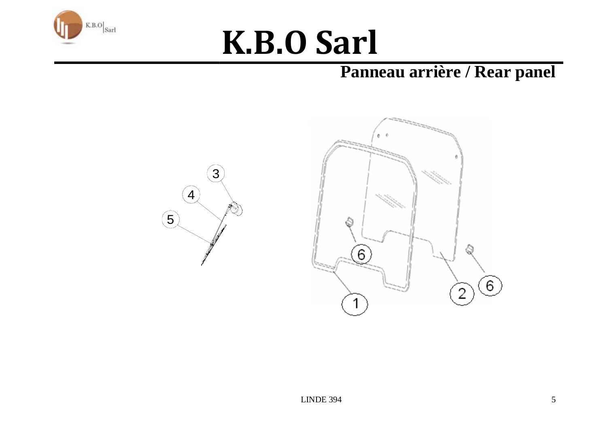

#### Panneau arrière / Rear panel

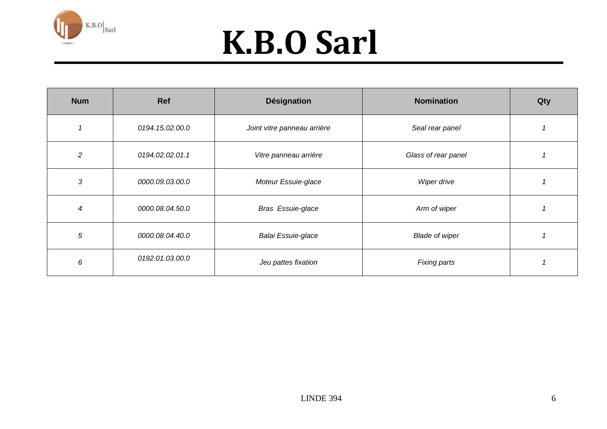

| <b>Num</b>     | Ref             | <b>Désignation</b>          | <b>Nomination</b>     | Qty |
|----------------|-----------------|-----------------------------|-----------------------|-----|
|                | 0194.15.02.00.0 | Joint vitre panneau arrière | Seal rear panel       |     |
| $\overline{2}$ | 0194.02.02.01.1 | Vitre panneau arrière       | Glass of rear panel   |     |
| 3              | 0000.09.03.00.0 | Moteur Essuie-glace         | Wiper drive           |     |
| $\overline{4}$ | 0000.08.04.50.0 | <b>Bras Essuie-glace</b>    | Arm of wiper          |     |
| 5              | 0000.08.04.40.0 | Balai Essuie-glace          | <b>Blade of wiper</b> |     |
| 6              | 0192.01.03.00.0 | Jeu pattes fixation         | <b>Fixing parts</b>   |     |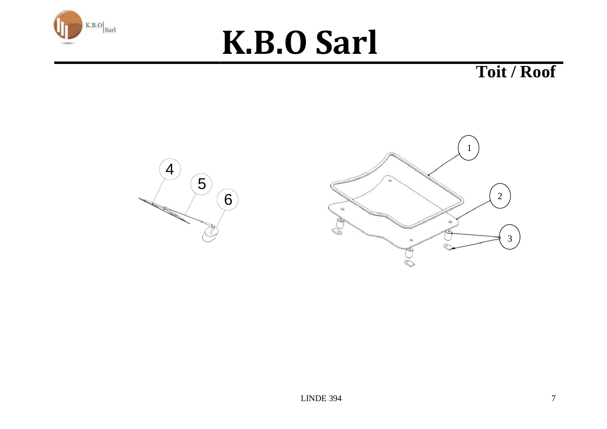

**Toit / Roof** 

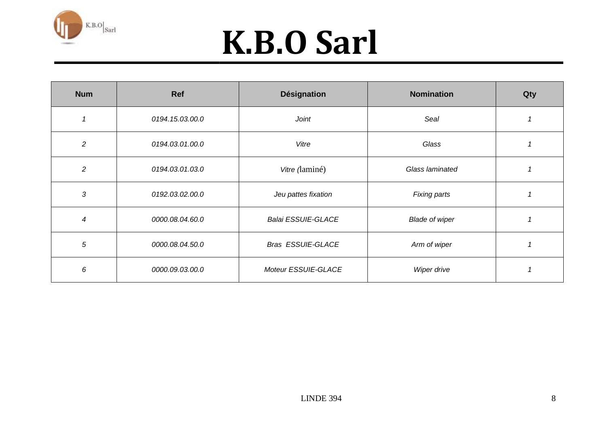

| <b>Num</b>     | Ref             | <b>Désignation</b>        | <b>Nomination</b>     | Qty |
|----------------|-----------------|---------------------------|-----------------------|-----|
|                | 0194.15.03.00.0 | Joint                     | Seal                  |     |
| $\overline{c}$ | 0194.03.01.00.0 | Vitre                     | Glass                 |     |
| $\overline{c}$ | 0194.03.01.03.0 | Vitre (laminé)            | Glass laminated       |     |
| 3              | 0192.03.02.00.0 | Jeu pattes fixation       | Fixing parts          |     |
| 4              | 0000.08.04.60.0 | <b>Balai ESSUIE-GLACE</b> | <b>Blade of wiper</b> |     |
| 5              | 0000.08.04.50.0 | <b>Bras ESSUIE-GLACE</b>  | Arm of wiper          |     |
| 6              | 0000.09.03.00.0 | Moteur ESSUIE-GLACE       | Wiper drive           |     |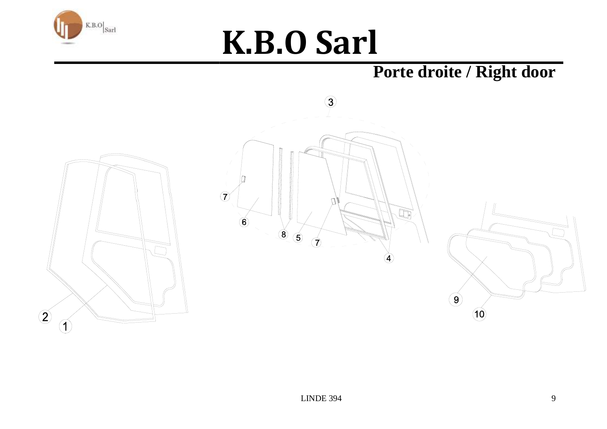

#### Porte droite / Right door





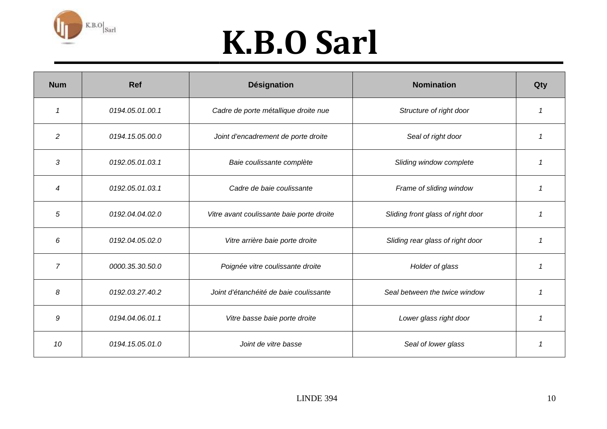

| <b>Num</b>     | <b>Ref</b>      | <b>Désignation</b>                        | <b>Nomination</b>                 | Qty |
|----------------|-----------------|-------------------------------------------|-----------------------------------|-----|
| $\mathcal I$   | 0194.05.01.00.1 | Cadre de porte métallique droite nue      | Structure of right door           |     |
| 2              | 0194.15.05.00.0 | Joint d'encadrement de porte droite       | Seal of right door                | 1   |
| 3              | 0192.05.01.03.1 | Baie coulissante complète                 | Sliding window complete           |     |
| 4              | 0192.05.01.03.1 | Cadre de baie coulissante                 | Frame of sliding window           |     |
| 5              | 0192.04.04.02.0 | Vitre avant coulissante baie porte droite | Sliding front glass of right door | 1   |
| 6              | 0192.04.05.02.0 | Vitre arrière baie porte droite           | Sliding rear glass of right door  |     |
| $\overline{7}$ | 0000.35.30.50.0 | Poignée vitre coulissante droite          | Holder of glass                   |     |
| 8              | 0192.03.27.40.2 | Joint d'étanchéité de baie coulissante    | Seal between the twice window     | 1   |
| 9              | 0194.04.06.01.1 | Vitre basse baie porte droite             | Lower glass right door            |     |
| 10             | 0194.15.05.01.0 | Joint de vitre basse                      | Seal of lower glass               |     |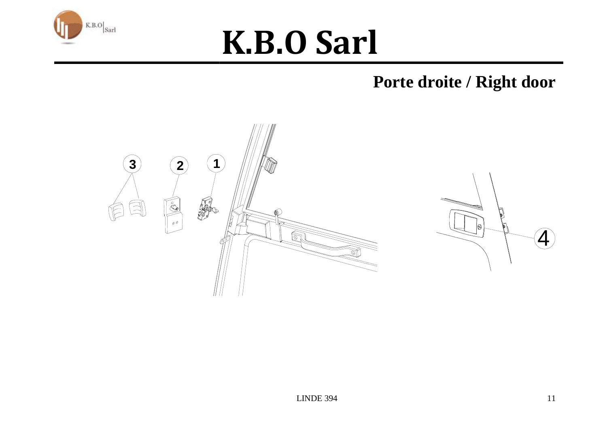

#### Porte droite / Right door



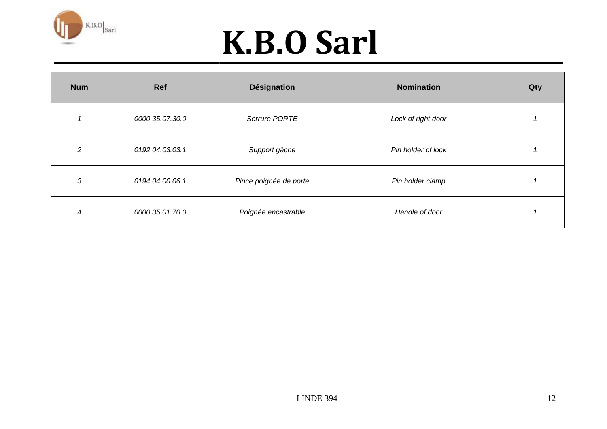

| <b>Num</b>     | Ref             | <b>Désignation</b>     | <b>Nomination</b>  | Qty |
|----------------|-----------------|------------------------|--------------------|-----|
|                | 0000.35.07.30.0 | Serrure PORTE          | Lock of right door |     |
| $\overline{a}$ | 0192.04.03.03.1 | Support gâche          | Pin holder of lock |     |
| 3              | 0194.04.00.06.1 | Pince poignée de porte | Pin holder clamp   |     |
| 4              | 0000.35.01.70.0 | Poignée encastrable    | Handle of door     |     |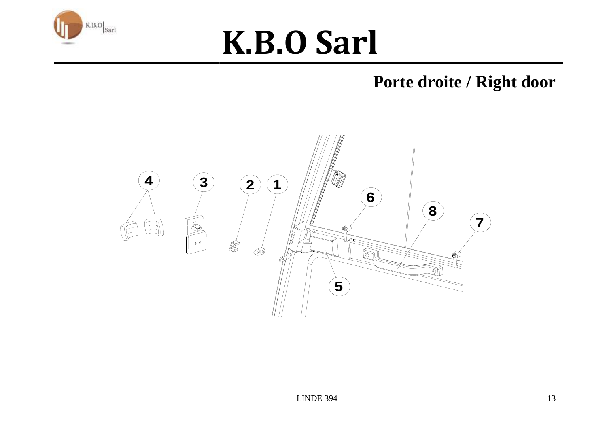

#### **Porte droite / Right door**

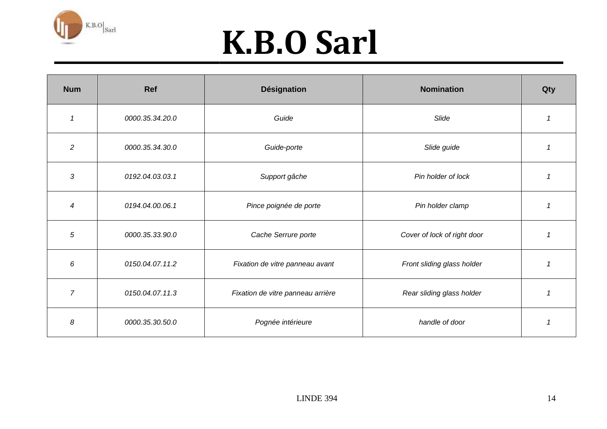

| <b>Num</b>     | Ref             | <b>Désignation</b>                | <b>Nomination</b>           | Qty            |
|----------------|-----------------|-----------------------------------|-----------------------------|----------------|
| $\mathcal I$   | 0000.35.34.20.0 | Guide                             | Slide                       | 1              |
| $\overline{c}$ | 0000.35.34.30.0 | Guide-porte                       | Slide guide                 | 1              |
| 3              | 0192.04.03.03.1 | Support gâche                     | Pin holder of lock          |                |
| 4              | 0194.04.00.06.1 | Pince poignée de porte            | Pin holder clamp            |                |
| $\sqrt{5}$     | 0000.35.33.90.0 | Cache Serrure porte               | Cover of lock of right door | 1              |
| 6              | 0150.04.07.11.2 | Fixation de vitre panneau avant   | Front sliding glass holder  | $\overline{1}$ |
| $\overline{7}$ | 0150.04.07.11.3 | Fixation de vitre panneau arrière | Rear sliding glass holder   | 1              |
| 8              | 0000.35.30.50.0 | Pognée intérieure                 | handle of door              | 1              |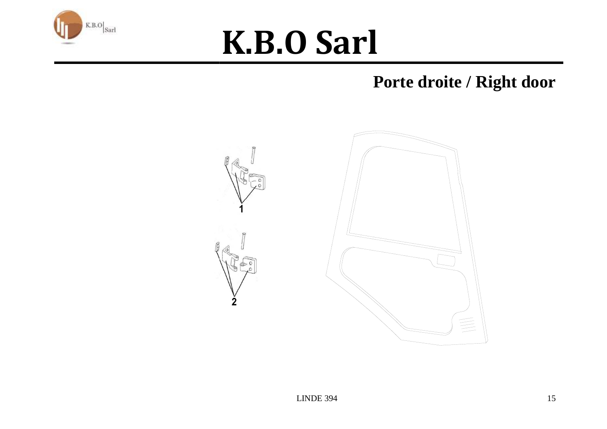

#### Porte droite / Right door

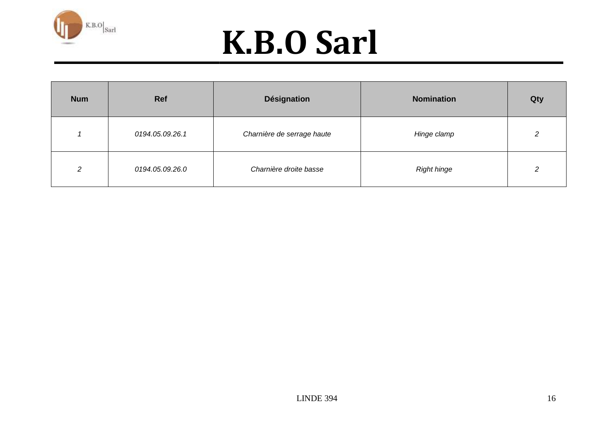

| <b>Num</b>    | Ref             | <b>Désignation</b>         | <b>Nomination</b>  | Qty |
|---------------|-----------------|----------------------------|--------------------|-----|
|               | 0194.05.09.26.1 | Charnière de serrage haute | Hinge clamp        |     |
| $\mathcal{L}$ | 0194.05.09.26.0 | Charnière droite basse     | <b>Right hinge</b> |     |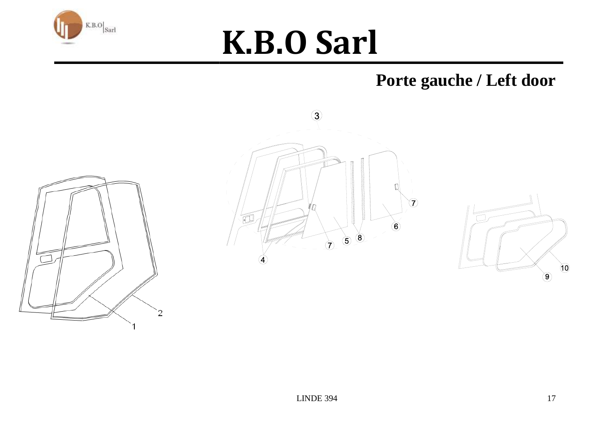

#### **Porte gauche / Left door**





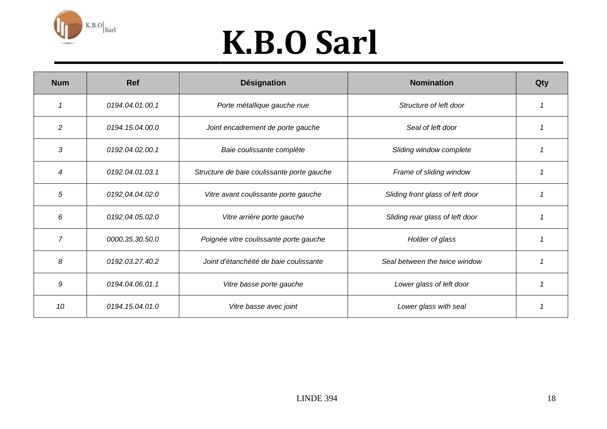

| <b>Num</b>     | <b>Ref</b>      | <b>Désignation</b>                         | <b>Nomination</b>                | Qty |
|----------------|-----------------|--------------------------------------------|----------------------------------|-----|
|                | 0194.04.01.00.1 | Porte métallique gauche nue                | Structure of left door           |     |
| $\overline{c}$ | 0194.15.04.00.0 | Joint encadrement de porte gauche          | Seal of left door                |     |
| 3              | 0192.04.02.00.1 | Baie coulissante complète                  | Sliding window complete          |     |
| 4              | 0192.04.01.03.1 | Structure de baie coulissante porte gauche | Frame of sliding window          |     |
| 5              | 0192.04.04.02.0 | Vitre avant coulissante porte gauche       | Sliding front glass of left door |     |
| 6              | 0192.04.05.02.0 | Vitre arrière porte gauche                 | Sliding rear glass of left door  |     |
| $\overline{7}$ | 0000.35.30.50.0 | Poignée vitre coulissante porte gauche     | Holder of glass                  |     |
| 8              | 0192.03.27.40.2 | Joint d'étanchéité de baie coulissante     | Seal between the twice window    |     |
| 9              | 0194.04.06.01.1 | Vitre basse porte gauche                   | Lower glass of left door         |     |
| 10             | 0194.15.04.01.0 | Vitre basse avec joint                     | Lower glass with seal            |     |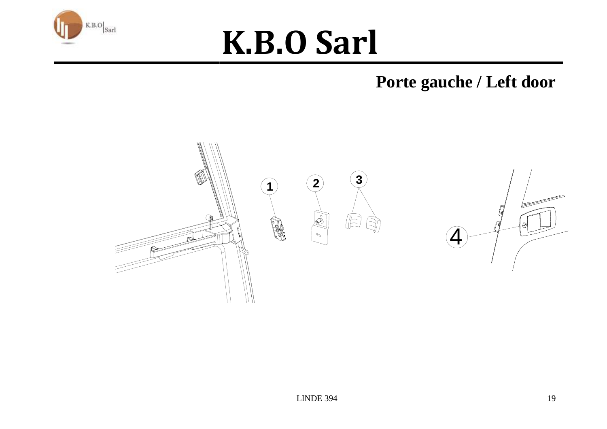

**Porte gauche / Left door**

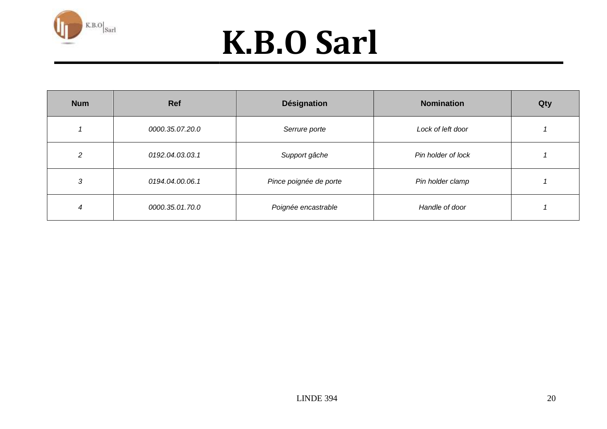

| <b>Num</b> | <b>Ref</b>      | <b>Désignation</b>     | <b>Nomination</b>  | Qty |
|------------|-----------------|------------------------|--------------------|-----|
|            | 0000.35.07.20.0 | Serrure porte          | Lock of left door  |     |
| 2          | 0192.04.03.03.1 | Support gâche          | Pin holder of lock |     |
| 3          | 0194.04.00.06.1 | Pince poignée de porte | Pin holder clamp   |     |
| 4          | 0000.35.01.70.0 | Poignée encastrable    | Handle of door     |     |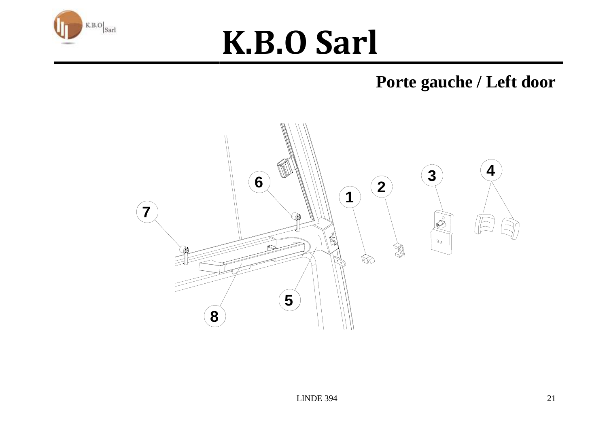

#### Porte gauche / Left door

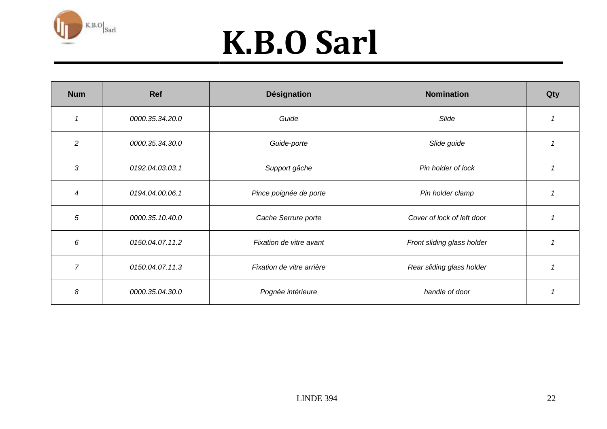

| <b>Num</b>               | Ref             | <b>Désignation</b>        | <b>Nomination</b>          | Qty |
|--------------------------|-----------------|---------------------------|----------------------------|-----|
|                          | 0000.35.34.20.0 | Guide                     | Slide                      |     |
| $\overline{2}$           | 0000.35.34.30.0 | Guide-porte               | Slide guide                |     |
| 3                        | 0192.04.03.03.1 | Support gâche             | Pin holder of lock         |     |
| $\boldsymbol{\varDelta}$ | 0194.04.00.06.1 | Pince poignée de porte    | Pin holder clamp           |     |
| 5                        | 0000.35.10.40.0 | Cache Serrure porte       | Cover of lock of left door |     |
| 6                        | 0150.04.07.11.2 | Fixation de vitre avant   | Front sliding glass holder |     |
| $\overline{7}$           | 0150.04.07.11.3 | Fixation de vitre arrière | Rear sliding glass holder  |     |
| 8                        | 0000.35.04.30.0 | Pognée intérieure         | handle of door             |     |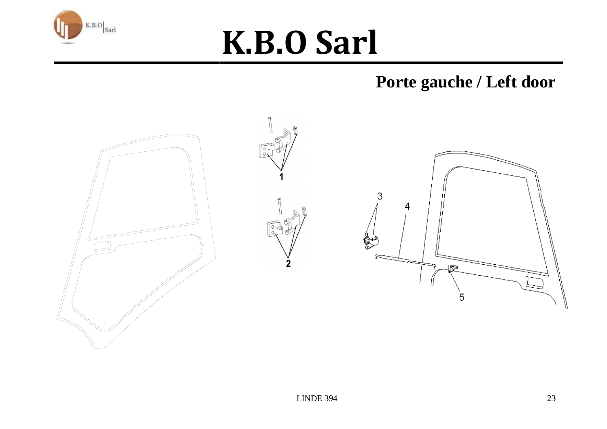

#### Porte gauche / Left door

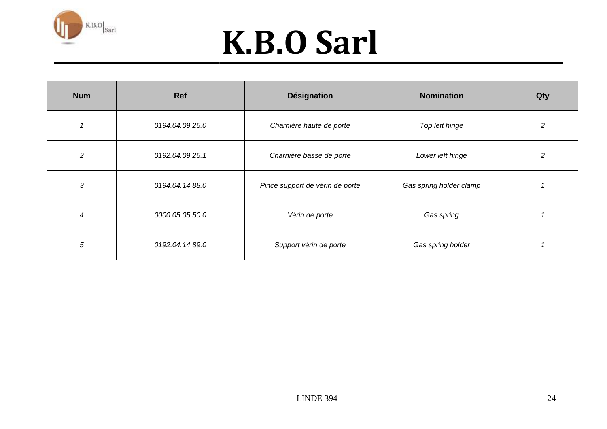

| <b>Num</b>     | Ref             | <b>Désignation</b>              | <b>Nomination</b>       | Qty |
|----------------|-----------------|---------------------------------|-------------------------|-----|
|                | 0194.04.09.26.0 | Charnière haute de porte        | Top left hinge          | 2   |
| $\overline{c}$ | 0192.04.09.26.1 | Charnière basse de porte        | Lower left hinge        | 2   |
| 3              | 0194.04.14.88.0 | Pince support de vérin de porte | Gas spring holder clamp |     |
| 4              | 0000.05.05.50.0 | Vérin de porte                  | Gas spring              |     |
| 5              | 0192.04.14.89.0 | Support vérin de porte          | Gas spring holder       |     |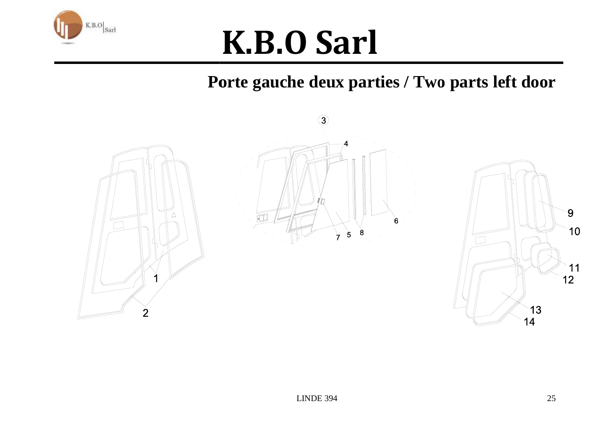

Porte gauche deux parties / Two parts left door

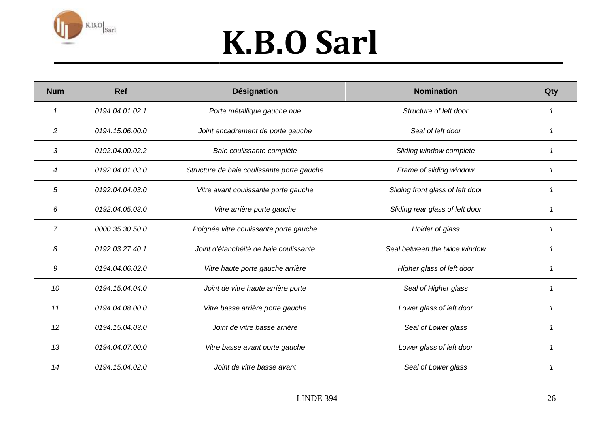

| <b>Num</b>     | <b>Ref</b>      | <b>Désignation</b>                         | <b>Nomination</b>                | Qty |
|----------------|-----------------|--------------------------------------------|----------------------------------|-----|
|                | 0194.04.01.02.1 | Porte métallique gauche nue                | Structure of left door           |     |
| $\overline{c}$ | 0194.15.06.00.0 | Joint encadrement de porte gauche          | Seal of left door                |     |
| 3              | 0192.04.00.02.2 | Baie coulissante complète                  | Sliding window complete          |     |
| 4              | 0192.04.01.03.0 | Structure de baie coulissante porte gauche | Frame of sliding window          |     |
| 5              | 0192.04.04.03.0 | Vitre avant coulissante porte gauche       | Sliding front glass of left door |     |
| 6              | 0192.04.05.03.0 | Vitre arrière porte gauche                 | Sliding rear glass of left door  |     |
| $\overline{7}$ | 0000.35.30.50.0 | Poignée vitre coulissante porte gauche     | Holder of glass                  |     |
| 8              | 0192.03.27.40.1 | Joint d'étanchéité de baie coulissante     | Seal between the twice window    | 1   |
| 9              | 0194.04.06.02.0 | Vitre haute porte gauche arrière           | Higher glass of left door        |     |
| 10             | 0194.15.04.04.0 | Joint de vitre haute arrière porte         | Seal of Higher glass             |     |
| 11             | 0194.04.08.00.0 | Vitre basse arrière porte gauche           | Lower glass of left door         |     |
| 12             | 0194.15.04.03.0 | Joint de vitre basse arrière               | Seal of Lower glass              | -1  |
| 13             | 0194.04.07.00.0 | Vitre basse avant porte gauche             | Lower glass of left door         |     |
| 14             | 0194.15.04.02.0 | Joint de vitre basse avant                 | Seal of Lower glass              |     |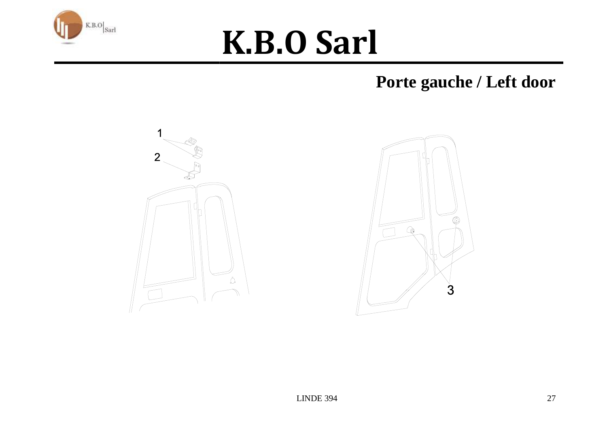

#### Porte gauche / Left door



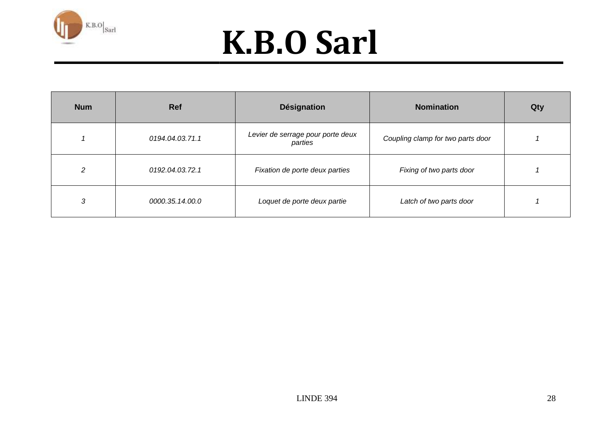

| <b>Num</b> | <b>Ref</b>      | <b>Désignation</b>                           | <b>Nomination</b>                 | Qty |
|------------|-----------------|----------------------------------------------|-----------------------------------|-----|
| 1          | 0194.04.03.71.1 | Levier de serrage pour porte deux<br>parties | Coupling clamp for two parts door |     |
| 2          | 0192.04.03.72.1 | Fixation de porte deux parties               | Fixing of two parts door          |     |
| 3          | 0000.35.14.00.0 | Loquet de porte deux partie                  | Latch of two parts door           |     |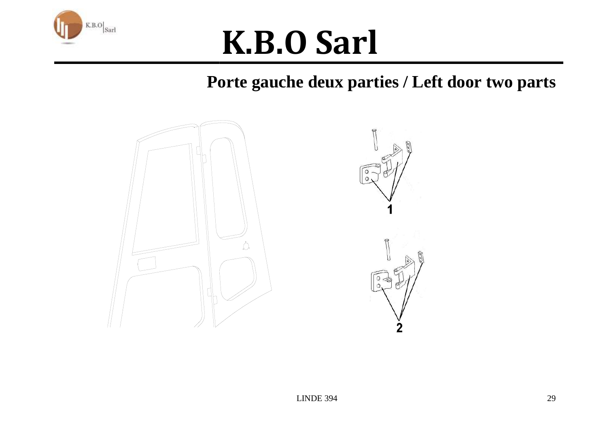

#### **Porte gauche deux parties / Left door two partsdeux door parts**



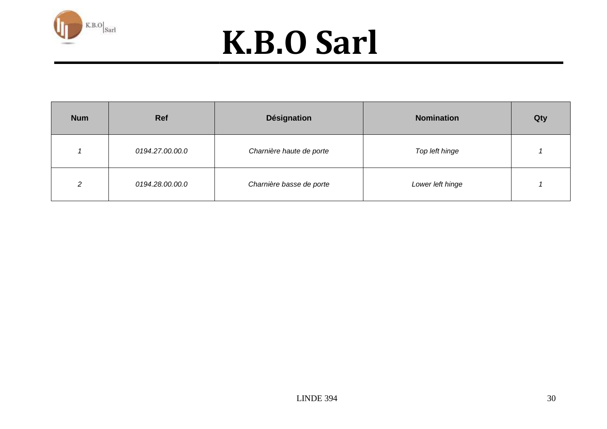

| <b>Num</b> | <b>Ref</b>      | <b>Désignation</b>       | <b>Nomination</b> | Qty |
|------------|-----------------|--------------------------|-------------------|-----|
|            | 0194.27.00.00.0 | Charnière haute de porte | Top left hinge    |     |
| ົ          | 0194.28.00.00.0 | Charnière basse de porte | Lower left hinge  |     |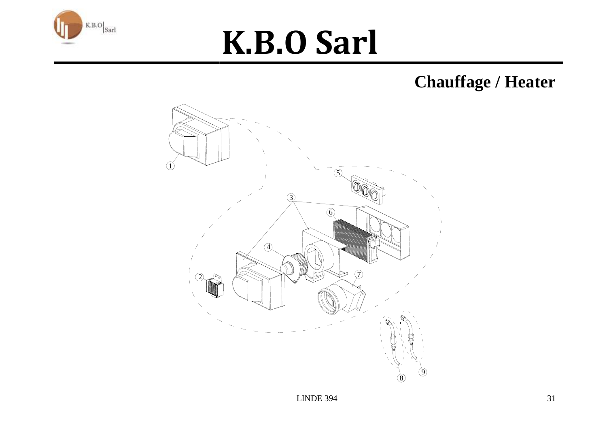

#### **Chauffage / Heater**

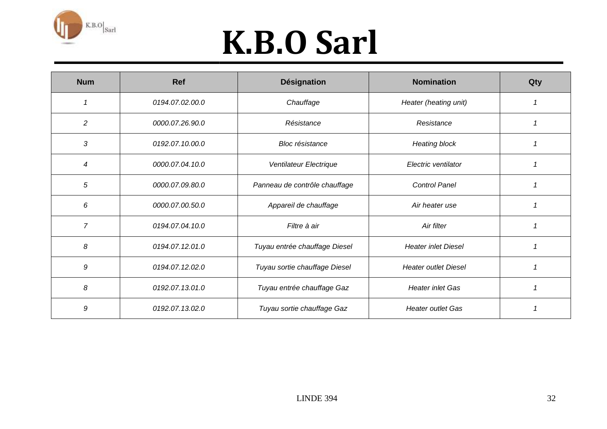

| <b>Num</b>     | <b>Ref</b>      | <b>Désignation</b>            | <b>Nomination</b>           | Qty |
|----------------|-----------------|-------------------------------|-----------------------------|-----|
|                | 0194.07.02.00.0 | Chauffage                     | Heater (heating unit)       |     |
| 2              | 0000.07.26.90.0 | Résistance                    | Resistance                  |     |
| 3              | 0192.07.10.00.0 | <b>Bloc</b> résistance        | <b>Heating block</b>        |     |
| 4              | 0000.07.04.10.0 | Ventilateur Electrique        | Electric ventilator         |     |
| 5              | 0000.07.09.80.0 | Panneau de contrôle chauffage | <b>Control Panel</b>        |     |
| 6              | 0000.07.00.50.0 | Appareil de chauffage         | Air heater use              |     |
| $\overline{7}$ | 0194.07.04.10.0 | Filtre à air                  | Air filter                  |     |
| 8              | 0194.07.12.01.0 | Tuyau entrée chauffage Diesel | <b>Heater inlet Diesel</b>  |     |
| 9              | 0194.07.12.02.0 | Tuyau sortie chauffage Diesel | <b>Heater outlet Diesel</b> |     |
| 8              | 0192.07.13.01.0 | Tuyau entrée chauffage Gaz    | <b>Heater inlet Gas</b>     |     |
| 9              | 0192.07.13.02.0 | Tuyau sortie chauffage Gaz    | <b>Heater outlet Gas</b>    |     |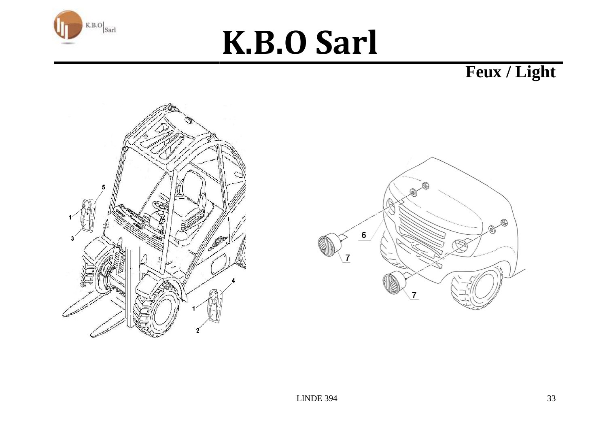

Feux / Light



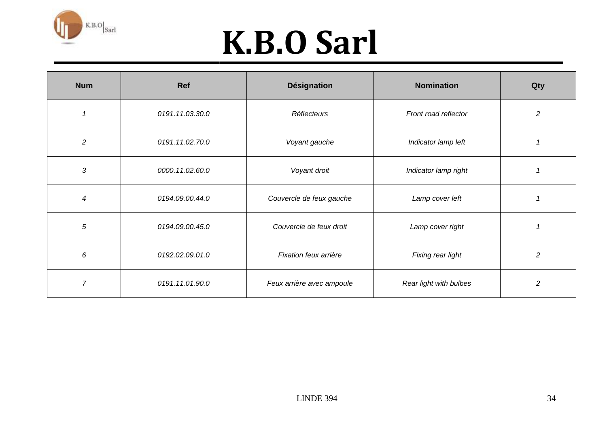

| <b>Num</b>     | <b>Ref</b>      | <b>Désignation</b>        | <b>Nomination</b>      | Qty            |
|----------------|-----------------|---------------------------|------------------------|----------------|
|                | 0191.11.03.30.0 | Réflecteurs               | Front road reflector   | $\overline{c}$ |
| $\overline{c}$ | 0191.11.02.70.0 | Voyant gauche             | Indicator lamp left    |                |
| 3              | 0000.11.02.60.0 | Voyant droit              | Indicator lamp right   |                |
| 4              | 0194.09.00.44.0 | Couvercle de feux gauche  | Lamp cover left        |                |
| $\sqrt{5}$     | 0194.09.00.45.0 | Couvercle de feux droit   | Lamp cover right       |                |
| 6              | 0192.02.09.01.0 | Fixation feux arrière     | Fixing rear light      | 2              |
| $\overline{7}$ | 0191.11.01.90.0 | Feux arrière avec ampoule | Rear light with bulbes | $\overline{c}$ |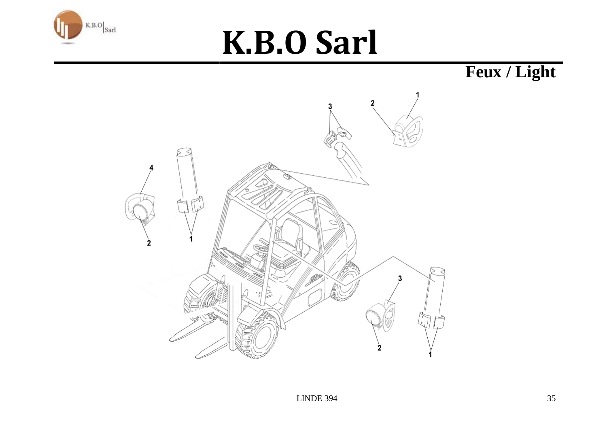

Feux / Light

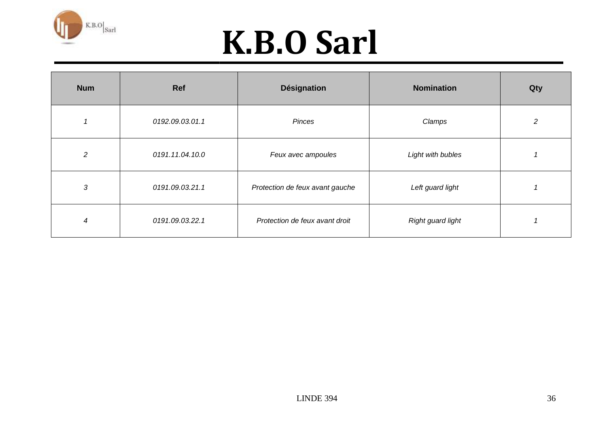

| <b>Num</b>     | Ref             | <b>Désignation</b>              | <b>Nomination</b> | Qty |
|----------------|-----------------|---------------------------------|-------------------|-----|
|                | 0192.09.03.01.1 | Pinces                          | Clamps            | 2   |
| $\overline{2}$ | 0191.11.04.10.0 | Feux avec ampoules              | Light with bubles |     |
| 3              | 0191.09.03.21.1 | Protection de feux avant gauche | Left guard light  |     |
| 4              | 0191.09.03.22.1 | Protection de feux avant droit  | Right guard light |     |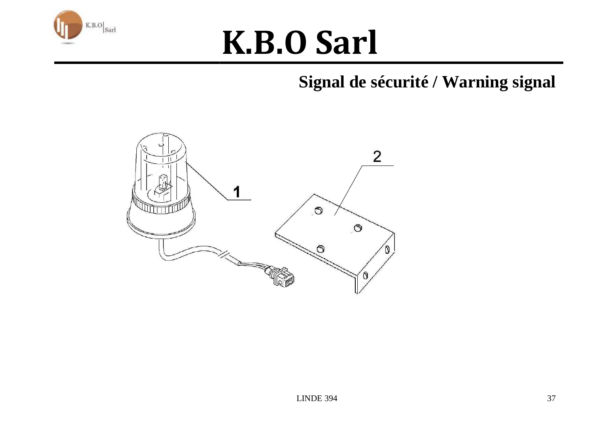

#### **Signal de sécurité / Warning signal**

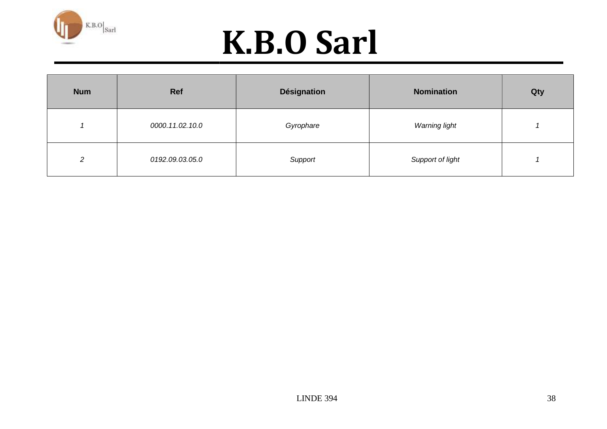

| <b>Num</b>    | <b>Ref</b>      | <b>Désignation</b> | <b>Nomination</b> | Qty |
|---------------|-----------------|--------------------|-------------------|-----|
|               | 0000.11.02.10.0 | Gyrophare          | Warning light     |     |
| $\mathcal{L}$ | 0192.09.03.05.0 | Support            | Support of light  |     |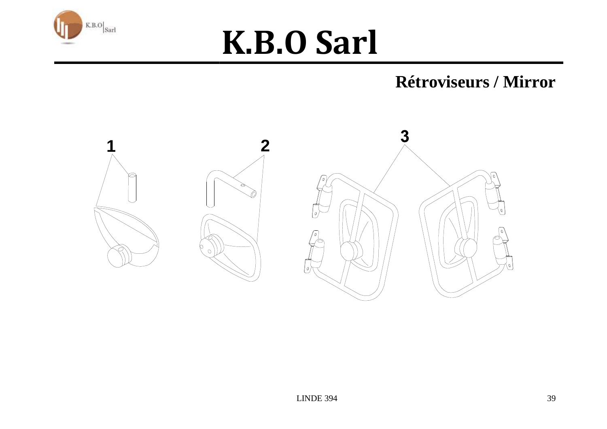

#### **Rétroviseurs / Mirror**